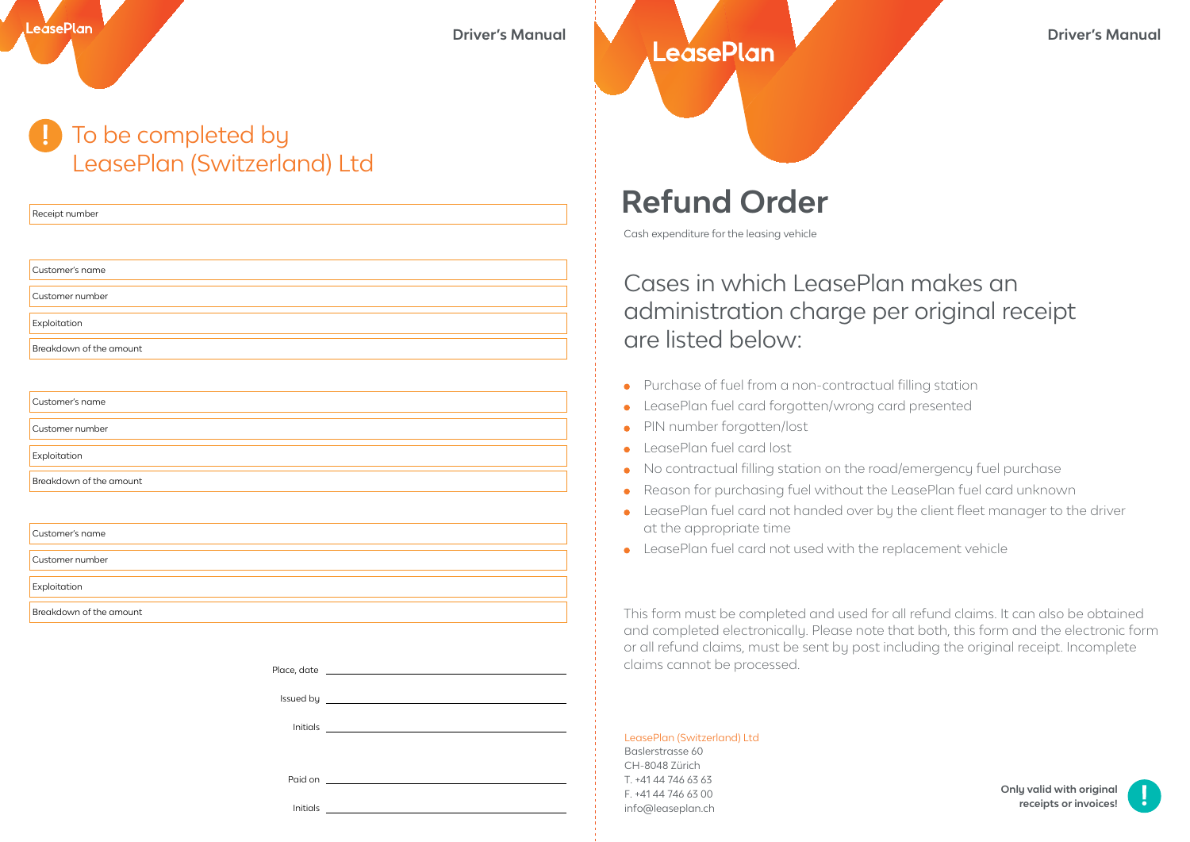**Driver's Manual Driver's Manual** Driver's Manual

## To be completed by LeasePlan (Switzerland) Ltd

Receipt number

LeásePlan

| Customer's name         |  |
|-------------------------|--|
| Customer number         |  |
| Exploitation            |  |
| Breakdown of the amount |  |

| Customer's name         |  |
|-------------------------|--|
|                         |  |
| Customer number         |  |
|                         |  |
| Exploitation            |  |
|                         |  |
| Breakdown of the amount |  |
|                         |  |

| Customer's name         |
|-------------------------|
| Customer number         |
| Exploitation            |
| Breakdown of the amount |

| Initials |  |
|----------|--|

## **Refund Order**

Cash expenditure for the leasing vehicle

## Cases in which LeasePlan makes an administration charge per original receipt are listed below:

- Purchase of fuel from a non-contractual filling station  $\bullet$
- LeasePlan fuel card forgotten/wrong card presented  $\bullet$
- PIN number forgotten/lost  $\bullet$
- LeasePlan fuel card lost  $\bullet$
- No contractual filling station on the road/emergency fuel purchase  $\bullet$
- Reason for purchasing fuel without the LeasePlan fuel card unknown  $\bullet$
- LeasePlan fuel card not handed over by the client fleet manager to the driver  $\bullet$ at the appropriate time
- LeasePlan fuel card not used with the replacement vehicle

This form must be completed and used for all refund claims. It can also be obtained and completed electronically. Please note that both, this form and the electronic form or all refund claims, must be sent by post including the original receipt. Incomplete claims cannot be processed.

## LeasePlan (Switzerland) Ltd

Baslerstrasse 60 CH-8048 Zürich T. +41 44 746 63 63 F. +41 44 746 63 00 info@leaseplan.ch